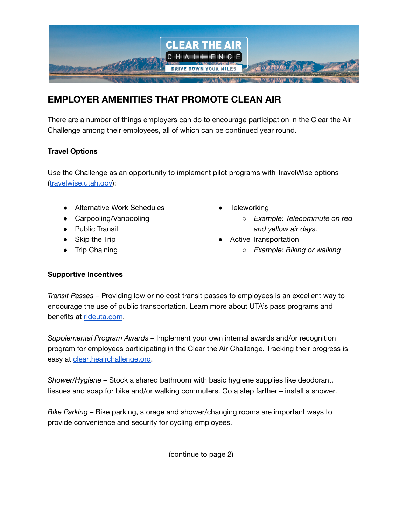

## **EMPLOYER AMENITIES THAT PROMOTE CLEAN AIR**

There are a number of things employers can do to encourage participation in the Clear the Air Challenge among their employees, all of which can be continued year round.

## **Travel Options**

Use the Challenge as an opportunity to implement pilot programs with TravelWise options ([travelwise.utah.gov](http://travelwise.utah.gov)):

- Alternative Work Schedules
- Carpooling/Vanpooling
- Public Transit
- Skip the Trip
- Trip Chaining
- **•** Teleworking
	- *○ Example: Telecommute on red and yellow air days.*
- Active Transportation
	- *○ Example: Biking or walking*

## **Supportive Incentives**

*Transit Passes* – Providing low or no cost transit passes to employees is an excellent way to encourage the use of public transportation. Learn more about UTA's pass programs and benefits at [rideuta.com](http://www.rideuta.com).

*Supplemental Program Awards* – Implement your own internal awards and/or recognition program for employees participating in the Clear the Air Challenge. Tracking their progress is easy at **cleartheairchallenge.org**.

*Shower/Hygiene* – Stock a shared bathroom with basic hygiene supplies like deodorant, tissues and soap for bike and/or walking commuters. Go a step farther – install a shower.

*Bike Parking* – Bike parking, storage and shower/changing rooms are important ways to provide convenience and security for cycling employees.

(continue to page 2)